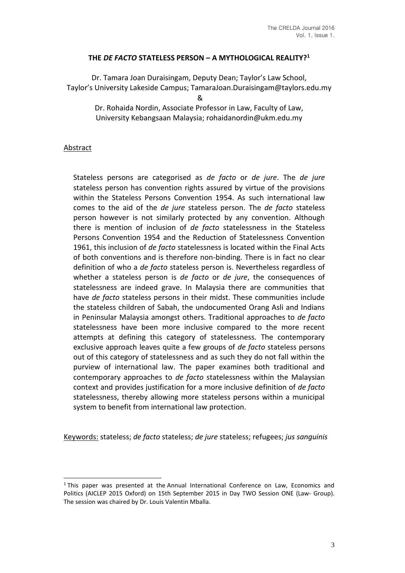#### **THE** *DE FACTO* **STATELESS PERSON – A MYTHOLOGICAL REALITY?<sup>1</sup>**

Dr. Tamara Joan Duraisingam, Deputy Dean; Taylor's Law School, Taylor's University Lakeside Campus; TamaraJoan.Duraisingam@taylors.edu.my

&

Dr. Rohaida Nordin, Associate Professor in Law, Faculty of Law, University Kebangsaan Malaysia; rohaidanordin@ukm.edu.my

#### Abstract

Stateless persons are categorised as *de facto* or *de jure*. The *de jure* stateless person has convention rights assured by virtue of the provisions within the Stateless Persons Convention 1954. As such international law comes to the aid of the *de jure* stateless person. The *de facto* stateless person however is not similarly protected by any convention. Although there is mention of inclusion of *de facto* statelessness in the Stateless Persons Convention 1954 and the Reduction of Statelessness Convention 1961, this inclusion of *de facto* statelessness is located within the Final Acts of both conventions and is therefore non-binding. There is in fact no clear definition of who a *de facto* stateless person is. Nevertheless regardless of whether a stateless person is *de facto* or *de jure*, the consequences of statelessness are indeed grave. In Malaysia there are communities that have *de facto* stateless persons in their midst. These communities include the stateless children of Sabah, the undocumented Orang Asli and Indians in Peninsular Malaysia amongst others. Traditional approaches to *de facto* statelessness have been more inclusive compared to the more recent attempts at defining this category of statelessness. The contemporary exclusive approach leaves quite a few groups of *de facto* stateless persons out of this category of statelessness and as such they do not fall within the purview of international law. The paper examines both traditional and contemporary approaches to *de facto* statelessness within the Malaysian context and provides justification for a more inclusive definition of *de facto* statelessness, thereby allowing more stateless persons within a municipal system to benefit from international law protection.

Keywords: stateless; *de facto* stateless; *de jure* stateless; refugees; *jus sanguinis*

<sup>&</sup>lt;sup>1</sup>This paper was presented at the Annual International Conference on Law, Economics and Politics (AICLEP 2015 Oxford) on 15th September 2015 in Day TWO Session ONE (Law- Group). The session was chaired by Dr. Louis Valentin Mballa.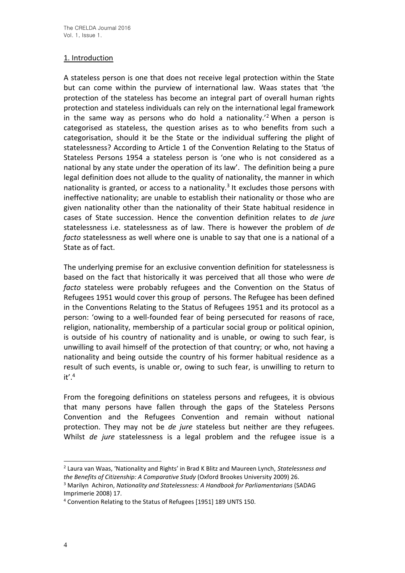### 1. Introduction

A stateless person is one that does not receive legal protection within the State but can come within the purview of international law. Waas states that 'the protection of the stateless has become an integral part of overall human rights protection and stateless individuals can rely on the international legal framework in the same way as persons who do hold a nationality.<sup>2</sup> When a person is categorised as stateless, the question arises as to who benefits from such a categorisation, should it be the State or the individual suffering the plight of statelessness? According to Article 1 of the Convention Relating to the Status of Stateless Persons 1954 a stateless person is 'one who is not considered as a national by any state under the operation of its law'. The definition being a pure legal definition does not allude to the quality of nationality, the manner in which nationality is granted, or access to a nationality.<sup>3</sup> It excludes those persons with ineffective nationality; are unable to establish their nationality or those who are given nationality other than the nationality of their State habitual residence in cases of State succession. Hence the convention definition relates to *de jure* statelessness i.e. statelessness as of law. There is however the problem of *de facto* statelessness as well where one is unable to say that one is a national of a State as of fact.

The underlying premise for an exclusive convention definition for statelessness is based on the fact that historically it was perceived that all those who were *de facto* stateless were probably refugees and the Convention on the Status of Refugees 1951 would cover this group of persons. The Refugee has been defined in the Conventions Relating to the Status of Refugees 1951 and its protocol as a person: 'owing to a well-founded fear of being persecuted for reasons of race, religion, nationality, membership of a particular social group or political opinion, is outside of his country of nationality and is unable, or owing to such fear, is unwilling to avail himself of the protection of that country; or who, not having a nationality and being outside the country of his former habitual residence as a result of such events, is unable or, owing to such fear, is unwilling to return to  $it'.<sup>4</sup>$ 

From the foregoing definitions on stateless persons and refugees, it is obvious that many persons have fallen through the gaps of the Stateless Persons Convention and the Refugees Convention and remain without national protection. They may not be *de jure* stateless but neither are they refugees. Whilst *de jure* statelessness is a legal problem and the refugee issue is a

<sup>2</sup> Laura van Waas, 'Nationality and Rights' in Brad K Blitz and Maureen Lynch, *Statelessness and the Benefits of Citizenship: A Comparative Study* (Oxford Brookes University 2009) 26.

<sup>3</sup> Marilyn Achiron, *Nationality and Statelessness: A Handbook for Parliamentarians* (SADAG Imprimerie 2008) 17.

<sup>4</sup> Convention Relating to the Status of Refugees [1951] 189 UNTS 150.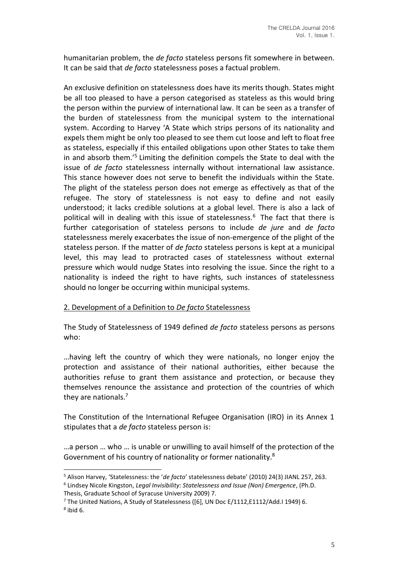humanitarian problem, the *de facto* stateless persons fit somewhere in between. It can be said that *de facto* statelessness poses a factual problem.

An exclusive definition on statelessness does have its merits though. States might be all too pleased to have a person categorised as stateless as this would bring the person within the purview of international law. It can be seen as a transfer of the burden of statelessness from the municipal system to the international system. According to Harvey 'A State which strips persons of its nationality and expels them might be only too pleased to see them cut loose and left to float free as stateless, especially if this entailed obligations upon other States to take them in and absorb them.<sup>'5</sup> Limiting the definition compels the State to deal with the issue of *de facto* statelessness internally without international law assistance. This stance however does not serve to benefit the individuals within the State. The plight of the stateless person does not emerge as effectively as that of the refugee. The story of statelessness is not easy to define and not easily understood; it lacks credible solutions at a global level. There is also a lack of political will in dealing with this issue of statelessness.<sup>6</sup> The fact that there is further categorisation of stateless persons to include *de jure* and *de facto* statelessness merely exacerbates the issue of non-emergence of the plight of the stateless person. If the matter of *de facto* stateless persons is kept at a municipal level, this may lead to protracted cases of statelessness without external pressure which would nudge States into resolving the issue. Since the right to a nationality is indeed the right to have rights, such instances of statelessness should no longer be occurring within municipal systems.

### 2. Development of a Definition to *De facto* Statelessness

The Study of Statelessness of 1949 defined *de facto* stateless persons as persons who:

…having left the country of which they were nationals, no longer enjoy the protection and assistance of their national authorities, either because the authorities refuse to grant them assistance and protection, or because they themselves renounce the assistance and protection of the countries of which they are nationals.<sup>7</sup>

The Constitution of the International Refugee Organisation (IRO) in its Annex 1 stipulates that a *de facto* stateless person is:

…a person … who … is unable or unwilling to avail himself of the protection of the Government of his country of nationality or former nationality.<sup>8</sup>

<sup>5</sup> Alison Harvey, 'Statelessness: the '*de facto*' statelessness debate' (2010) 24(3) JIANL 257, 263. 6 Lindsey Nicole Kingston, *Legal Invisibility: Statelessness and Issue (Non) Emergence*, (Ph.D. Thesis, Graduate School of Syracuse University 2009) 7.

<sup>7</sup> The United Nations, A Study of Statelessness ([6], UN Doc E/1112,E1112/Add.I 1949) 6.  $8$  ibid 6.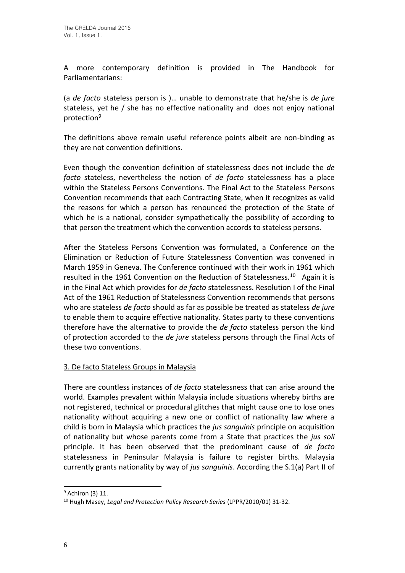A more contemporary definition is provided in The Handbook for Parliamentarians:

(a *de facto* stateless person is )… unable to demonstrate that he/she is *de jure* stateless, yet he / she has no effective nationality and does not enjoy national protection<sup>9</sup>

The definitions above remain useful reference points albeit are non-binding as they are not convention definitions.

Even though the convention definition of statelessness does not include the *de facto* stateless, nevertheless the notion of *de facto* statelessness has a place within the Stateless Persons Conventions. The Final Act to the Stateless Persons Convention recommends that each Contracting State, when it recognizes as valid the reasons for which a person has renounced the protection of the State of which he is a national, consider sympathetically the possibility of according to that person the treatment which the convention accords to stateless persons.

After the Stateless Persons Convention was formulated, a Conference on the Elimination or Reduction of Future Statelessness Convention was convened in March 1959 in Geneva. The Conference continued with their work in 1961 which resulted in the 1961 Convention on the Reduction of Statelessness.<sup>10</sup> Again it is in the Final Act which provides for *de facto* statelessness. Resolution I of the Final Act of the 1961 Reduction of Statelessness Convention recommends that persons who are stateless *de facto* should as far as possible be treated as stateless *de jure* to enable them to acquire effective nationality. States party to these conventions therefore have the alternative to provide the *de facto* stateless person the kind of protection accorded to the *de jure* stateless persons through the Final Acts of these two conventions.

# 3. De facto Stateless Groups in Malaysia

There are countless instances of *de facto* statelessness that can arise around the world. Examples prevalent within Malaysia include situations whereby births are not registered, technical or procedural glitches that might cause one to lose ones nationality without acquiring a new one or conflict of nationality law where a child is born in Malaysia which practices the *jus sanguinis* principle on acquisition of nationality but whose parents come from a State that practices the *jus soli* principle. It has been observed that the predominant cause of *de facto* statelessness in Peninsular Malaysia is failure to register births. Malaysia currently grants nationality by way of *jus sanguinis*. According the S.1(a) Part II of

<sup>&</sup>lt;sup>9</sup> Achiron (3) 11.

<sup>10</sup> Hugh Masey, *Legal and Protection Policy Research Series* (LPPR/2010/01) 31-32.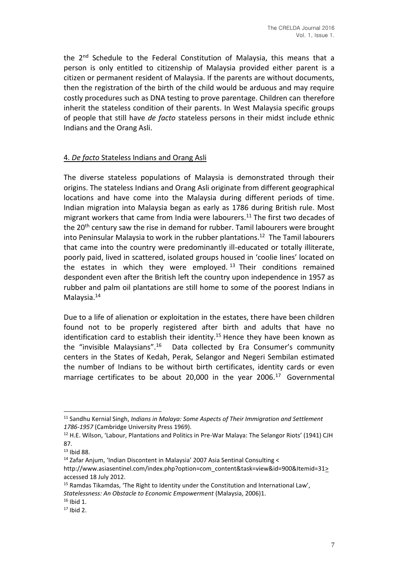the 2<sup>nd</sup> Schedule to the Federal Constitution of Malaysia, this means that a person is only entitled to citizenship of Malaysia provided either parent is a citizen or permanent resident of Malaysia. If the parents are without documents, then the registration of the birth of the child would be arduous and may require costly procedures such as DNA testing to prove parentage. Children can therefore inherit the stateless condition of their parents. In West Malaysia specific groups of people that still have *de facto* stateless persons in their midst include ethnic Indians and the Orang Asli.

# 4. *De facto* Stateless Indians and Orang Asli

The diverse stateless populations of Malaysia is demonstrated through their origins. The stateless Indians and Orang Asli originate from different geographical locations and have come into the Malaysia during different periods of time. Indian migration into Malaysia began as early as 1786 during British rule. Most migrant workers that came from India were labourers.<sup>11</sup> The first two decades of the 20<sup>th</sup> century saw the rise in demand for rubber. Tamil labourers were brought into Peninsular Malaysia to work in the rubber plantations.<sup>12</sup> The Tamil labourers that came into the country were predominantly ill-educated or totally illiterate, poorly paid, lived in scattered, isolated groups housed in 'coolie lines' located on the estates in which they were employed.<sup>13</sup> Their conditions remained despondent even after the British left the country upon independence in 1957 as rubber and palm oil plantations are still home to some of the poorest Indians in Malaysia.<sup>14</sup>

Due to a life of alienation or exploitation in the estates, there have been children found not to be properly registered after birth and adults that have no identification card to establish their identity.<sup>15</sup> Hence they have been known as the "invisible Malaysians".<sup>16</sup> Data collected by Era Consumer's community centers in the States of Kedah, Perak, Selangor and Negeri Sembilan estimated the number of Indians to be without birth certificates, identity cards or even marriage certificates to be about 20,000 in the year 2006. $^{17}$  Governmental

<sup>11</sup> Sandhu Kernial Singh, *Indians in Malaya: Some Aspects of Their Immigration and Settlement 1786-1957* (Cambridge University Press 1969).

<sup>&</sup>lt;sup>12</sup> H.E. Wilson, 'Labour, Plantations and Politics in Pre-War Malaya: The Selangor Riots' (1941) CJH 87.

<sup>13</sup> Ibid 88.

<sup>14</sup> Zafar Anjum, 'Indian Discontent in Malaysia' 2007 Asia Sentinal Consulting <

http://www.asiasentinel.com/index.php?option=com\_content&task=view&id=900&Itemid=31> accessed 18 July 2012.

<sup>15</sup> Ramdas Tikamdas, 'The Right to Identity under the Constitution and International Law', *Statelessness: An Obstacle to Economic Empowerment* (Malaysia, 2006)1.

<sup>16</sup> Ibid 1.

 $17$  Ibid 2.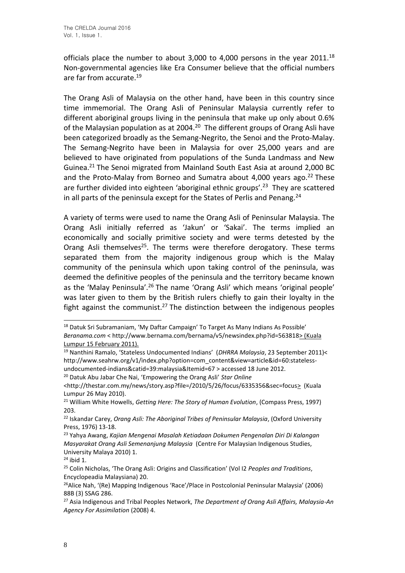officials place the number to about 3,000 to 4,000 persons in the year  $2011$ .<sup>18</sup> Non-governmental agencies like Era Consumer believe that the official numbers are far from accurate.<sup>19</sup>

The Orang Asli of Malaysia on the other hand, have been in this country since time immemorial. The Orang Asli of Peninsular Malaysia currently refer to different aboriginal groups living in the peninsula that make up only about 0.6% of the Malaysian population as at 2004.<sup>20</sup> The different groups of Orang Asli have been categorized broadly as the Semang-Negrito, the Senoi and the Proto-Malay. The Semang-Negrito have been in Malaysia for over 25,000 years and are believed to have originated from populations of the Sunda Landmass and New Guinea.<sup>21</sup> The Senoi migrated from Mainland South East Asia at around 2,000 BC and the Proto-Malay from Borneo and Sumatra about 4,000 years ago. $^{22}$  These are further divided into eighteen 'aboriginal ethnic groups'.<sup>23</sup> They are scattered in all parts of the peninsula except for the States of Perlis and Penang.<sup>24</sup>

A variety of terms were used to name the Orang Asli of Peninsular Malaysia. The Orang Asli initially referred as 'Jakun' or 'Sakai'. The terms implied an economically and socially primitive society and were terms detested by the Orang Asli themselves<sup>25</sup>. The terms were therefore derogatory. These terms separated them from the majority indigenous group which is the Malay community of the peninsula which upon taking control of the peninsula, was deemed the definitive peoples of the peninsula and the territory became known as the 'Malay Peninsula'.<sup>26</sup> The name 'Orang Asli' which means 'original people' was later given to them by the British rulers chiefly to gain their loyalty in the fight against the communist.<sup>27</sup> The distinction between the indigenous peoples

<sup>&</sup>lt;sup>18</sup> Datuk Sri Subramaniam, 'My Daftar Campaign' To Target As Many Indians As Possible' *Beranama.com* < http://www.bernama.com/bernama/v5/newsindex.php?id=563818> (Kuala Lumpur 15 February 2011).

<sup>19</sup> Nanthini Ramalo, 'Stateless Undocumented Indians' (*DHRRA Malaysia*, 23 September 2011)< http://www.seahrw.org/v1/index.php?option=com\_content&view=article&id=60:statelessundocumented-indians&catid=39:malaysia&Itemid=67 > accessed 18 June 2012.

<sup>20</sup> Datuk Abu Jabar Che Nai, 'Empowering the Orang Asli' *Star Online*

<sup>&</sup>lt;http://thestar.com.my/news/story.asp?file=/2010/5/26/focus/6335356&sec=focus> (Kuala Lumpur 26 May 2010).

<sup>21</sup> William White Howells, *Getting Here: The Story of Human Evolution*, (Compass Press, 1997) 203.

<sup>22</sup> Iskandar Carey, *Orang Asli: The Aboriginal Tribes of Peninsular Malaysia*, (Oxford University Press, 1976) 13-18.

<sup>23</sup> Yahya Awang, *Kajian Mengenai Masalah Ketiadaan Dokumen Pengenalan Diri Di Kalangan Masyarakat Orang Asli Semenanjung Malaysia* (Centre For Malaysian Indigenous Studies, University Malaya 2010) 1.

<sup>24</sup> ibid 1.

<sup>25</sup> Colin Nicholas, 'The Orang Asli: Origins and Classification' (Vol I2 *Peoples and Traditions*, Encyclopeadia Malaysiana) 20.

<sup>&</sup>lt;sup>26</sup>Alice Nah, '(Re) Mapping Indigenous 'Race'/Place in Postcolonial Peninsular Malaysia' (2006) 88B (3) SSAG 286.

<sup>27</sup> Asia Indigenous and Tribal Peoples Network, *The Department of Orang Asli Affairs, Malaysia-An Agency For Assimilation* (2008) 4.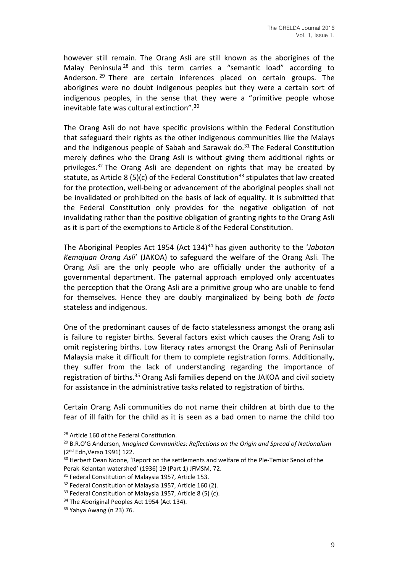however still remain. The Orang Asli are still known as the aborigines of the Malay Peninsula <sup>28</sup> and this term carries a "semantic load" according to Anderson.<sup>29</sup> There are certain inferences placed on certain groups. The aborigines were no doubt indigenous peoples but they were a certain sort of indigenous peoples, in the sense that they were a "primitive people whose inevitable fate was cultural extinction".<sup>30</sup>

The Orang Asli do not have specific provisions within the Federal Constitution that safeguard their rights as the other indigenous communities like the Malays and the indigenous people of Sabah and Sarawak do. $31$  The Federal Constitution merely defines who the Orang Asli is without giving them additional rights or privileges.<sup>32</sup> The Orang Asli are dependent on rights that may be created by statute, as Article 8 (5)(c) of the Federal Constitution<sup>33</sup> stipulates that law created for the protection, well-being or advancement of the aboriginal peoples shall not be invalidated or prohibited on the basis of lack of equality. It is submitted that the Federal Constitution only provides for the negative obligation of not invalidating rather than the positive obligation of granting rights to the Orang Asli as it is part of the exemptions to Article 8 of the Federal Constitution.

The Aboriginal Peoples Act 1954 (Act 134)<sup>34</sup> has given authority to the '*Jabatan Kemajuan Orang Asli*' (JAKOA) to safeguard the welfare of the Orang Asli. The Orang Asli are the only people who are officially under the authority of a governmental department. The paternal approach employed only accentuates the perception that the Orang Asli are a primitive group who are unable to fend for themselves. Hence they are doubly marginalized by being both *de facto* stateless and indigenous.

One of the predominant causes of de facto statelessness amongst the orang asli is failure to register births. Several factors exist which causes the Orang Asli to omit registering births. Low literacy rates amongst the Orang Asli of Peninsular Malaysia make it difficult for them to complete registration forms. Additionally, they suffer from the lack of understanding regarding the importance of registration of births.<sup>35</sup> Orang Asli families depend on the JAKOA and civil society for assistance in the administrative tasks related to registration of births.

Certain Orang Asli communities do not name their children at birth due to the fear of ill faith for the child as it is seen as a bad omen to name the child too

<sup>&</sup>lt;sup>28</sup> Article 160 of the Federal Constitution.

<sup>29</sup> B.R.O'G Anderson, *Imagined Communities: Reflections on the Origin and Spread of Nationalism*  (2nd Edn,Verso 1991) 122.

<sup>&</sup>lt;sup>30</sup> Herbert Dean Noone, 'Report on the settlements and welfare of the Ple-Temiar Senoi of the Perak-Kelantan watershed' (1936) 19 (Part 1) JFMSM, 72.

<sup>&</sup>lt;sup>31</sup> Federal Constitution of Malaysia 1957, Article 153.

<sup>&</sup>lt;sup>32</sup> Federal Constitution of Malaysia 1957, Article 160 (2).

<sup>&</sup>lt;sup>33</sup> Federal Constitution of Malaysia 1957, Article 8 (5) (c).

<sup>&</sup>lt;sup>34</sup> The Aboriginal Peoples Act 1954 (Act 134).

 $35$  Yahya Awang (n 23) 76.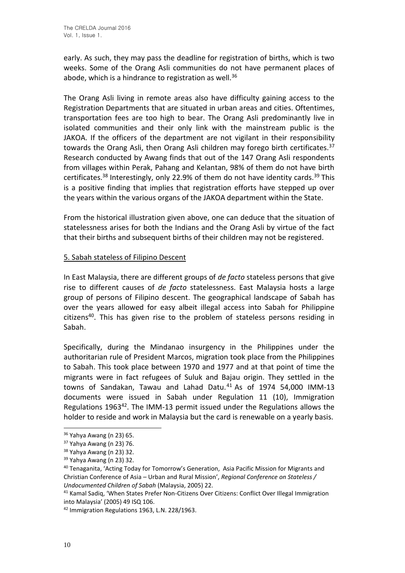early. As such, they may pass the deadline for registration of births, which is two weeks. Some of the Orang Asli communities do not have permanent places of abode, which is a hindrance to registration as well.<sup>36</sup>

The Orang Asli living in remote areas also have difficulty gaining access to the Registration Departments that are situated in urban areas and cities. Oftentimes, transportation fees are too high to bear. The Orang Asli predominantly live in isolated communities and their only link with the mainstream public is the JAKOA. If the officers of the department are not vigilant in their responsibility towards the Orang Asli, then Orang Asli children may forego birth certificates.<sup>37</sup> Research conducted by Awang finds that out of the 147 Orang Asli respondents from villages within Perak, Pahang and Kelantan, 98% of them do not have birth certificates.<sup>38</sup> Interestingly, only 22.9% of them do not have identity cards.<sup>39</sup> This is a positive finding that implies that registration efforts have stepped up over the years within the various organs of the JAKOA department within the State.

From the historical illustration given above, one can deduce that the situation of statelessness arises for both the Indians and the Orang Asli by virtue of the fact that their births and subsequent births of their children may not be registered.

### 5. Sabah stateless of Filipino Descent

In East Malaysia, there are different groups of *de facto* stateless persons that give rise to different causes of *de facto* statelessness. East Malaysia hosts a large group of persons of Filipino descent. The geographical landscape of Sabah has over the years allowed for easy albeit illegal access into Sabah for Philippine citizens<sup>40</sup>. This has given rise to the problem of stateless persons residing in Sabah.

Specifically, during the Mindanao insurgency in the Philippines under the authoritarian rule of President Marcos, migration took place from the Philippines to Sabah. This took place between 1970 and 1977 and at that point of time the migrants were in fact refugees of Suluk and Bajau origin. They settled in the towns of Sandakan, Tawau and Lahad Datu.<sup>41</sup> As of 1974 54,000 IMM-13 documents were issued in Sabah under Regulation 11 (10), Immigration Regulations 1963<sup>42</sup>. The IMM-13 permit issued under the Regulations allows the holder to reside and work in Malaysia but the card is renewable on a yearly basis.

<sup>36</sup> Yahya Awang (n 23) 65.

<sup>37</sup> Yahya Awang (n 23) 76.

<sup>38</sup> Yahya Awang (n 23) 32.

<sup>39</sup> Yahya Awang (n 23) 32.

<sup>40</sup> Tenaganita, 'Acting Today for Tomorrow's Generation, Asia Pacific Mission for Migrants and Christian Conference of Asia – Urban and Rural Mission', *Regional Conference on Stateless / Undocumented Children of Sabah* (Malaysia, 2005) 22.

<sup>41</sup> Kamal Sadiq, 'When States Prefer Non-Citizens Over Citizens: Conflict Over Illegal Immigration into Malaysia' (2005) 49 ISQ 106.

<sup>42</sup> Immigration Regulations 1963, L.N. 228/1963.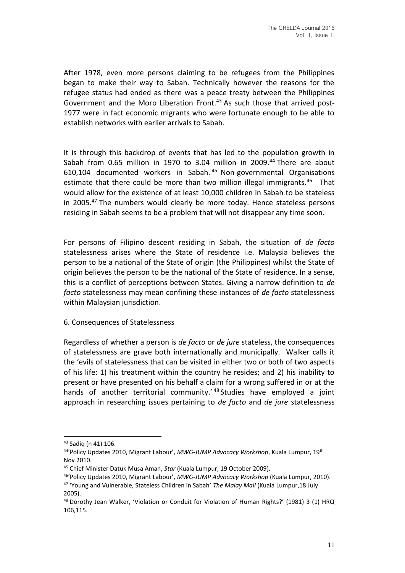After 1978, even more persons claiming to be refugees from the Philippines began to make their way to Sabah. Technically however the reasons for the refugee status had ended as there was a peace treaty between the Philippines Government and the Moro Liberation Front.<sup>43</sup> As such those that arrived post-1977 were in fact economic migrants who were fortunate enough to be able to establish networks with earlier arrivals to Sabah.

It is through this backdrop of events that has led to the population growth in Sabah from 0.65 million in 1970 to 3.04 million in 2009.<sup>44</sup> There are about 610,104 documented workers in Sabah. <sup>45</sup> Non-governmental Organisations estimate that there could be more than two million illegal immigrants.<sup>46</sup> That would allow for the existence of at least 10,000 children in Sabah to be stateless in 2005.<sup>47</sup> The numbers would clearly be more today. Hence stateless persons residing in Sabah seems to be a problem that will not disappear any time soon.

For persons of Filipino descent residing in Sabah, the situation of *de facto* statelessness arises where the State of residence i.e. Malaysia believes the person to be a national of the State of origin (the Philippines) whilst the State of origin believes the person to be the national of the State of residence. In a sense, this is a conflict of perceptions between States. Giving a narrow definition to *de facto* statelessness may mean confining these instances of *de facto* statelessness within Malaysian jurisdiction.

### 6. Consequences of Statelessness

Regardless of whether a person is *de facto* or *de jure* stateless, the consequences of statelessness are grave both internationally and municipally. Walker calls it the 'evils of statelessness that can be visited in either two or both of two aspects of his life: 1) his treatment within the country he resides; and 2) his inability to present or have presented on his behalf a claim for a wrong suffered in or at the hands of another territorial community.<sup>'48</sup> Studies have employed a joint approach in researching issues pertaining to *de facto* and *de jure* statelessness

<sup>43</sup> Sadiq (n 41) 106.

<sup>44</sup>'Policy Updates 2010, Migrant Labour', *MWG-JUMP Advocacy Workshop*, Kuala Lumpur, 19th Nov 2010.

<sup>45</sup> Chief Minister Datuk Musa Aman, *Star* (Kuala Lumpur, 19 October 2009).

<sup>46</sup>'Policy Updates 2010, Migrant Labour', *MWG-JUMP Advocacy Workshop* (Kuala Lumpur, 2010). <sup>47</sup> 'Young and Vulnerable, Stateless Children in Sabah' *The Malay Mail* (Kuala Lumpur,18 July 2005).

<sup>48</sup> Dorothy Jean Walker, 'Violation or Conduit for Violation of Human Rights?' (1981) 3 (1) HRQ 106,115.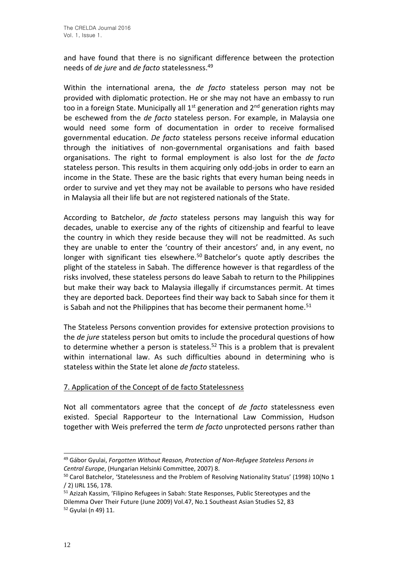and have found that there is no significant difference between the protection needs of *de jure* and *de facto* statelessness.<sup>49</sup>

Within the international arena, the *de facto* stateless person may not be provided with diplomatic protection. He or she may not have an embassy to run too in a foreign State. Municipally all  $1<sup>st</sup>$  generation and  $2<sup>nd</sup>$  generation rights may be eschewed from the *de facto* stateless person. For example, in Malaysia one would need some form of documentation in order to receive formalised governmental education. *De facto* stateless persons receive informal education through the initiatives of non-governmental organisations and faith based organisations. The right to formal employment is also lost for the *de facto* stateless person. This results in them acquiring only odd-jobs in order to earn an income in the State. These are the basic rights that every human being needs in order to survive and yet they may not be available to persons who have resided in Malaysia all their life but are not registered nationals of the State.

According to Batchelor, *de facto* stateless persons may languish this way for decades, unable to exercise any of the rights of citizenship and fearful to leave the country in which they reside because they will not be readmitted. As such they are unable to enter the 'country of their ancestors' and, in any event, no longer with significant ties elsewhere.<sup>50</sup> Batchelor's quote aptly describes the plight of the stateless in Sabah. The difference however is that regardless of the risks involved, these stateless persons do leave Sabah to return to the Philippines but make their way back to Malaysia illegally if circumstances permit. At times they are deported back. Deportees find their way back to Sabah since for them it is Sabah and not the Philippines that has become their permanent home. $51$ 

The Stateless Persons convention provides for extensive protection provisions to the *de jure* stateless person but omits to include the procedural questions of how to determine whether a person is stateless.<sup>52</sup> This is a problem that is prevalent within international law. As such difficulties abound in determining who is stateless within the State let alone *de facto* stateless.

### 7. Application of the Concept of de facto Statelessness

Not all commentators agree that the concept of *de facto* statelessness even existed. Special Rapporteur to the International Law Commission, Hudson together with Weis preferred the term *de facto* unprotected persons rather than

<sup>49</sup> Gábor Gyulai, *Forgotten Without Reason, Protection of Non-Refugee Stateless Persons in Central Europe*, (Hungarian Helsinki Committee, 2007) 8.

<sup>50</sup> Carol Batchelor, 'Statelessness and the Problem of Resolving Nationality Status' (1998) 10(No 1 / 2) IJRL 156, 178.

<sup>51</sup> Azizah Kassim, 'Filipino Refugees in Sabah: State Responses, Public Stereotypes and the Dilemma Over Their Future (June 2009) Vol.47, No.1 Southeast Asian Studies 52, 83 <sup>52</sup> Gyulai (n 49) 11.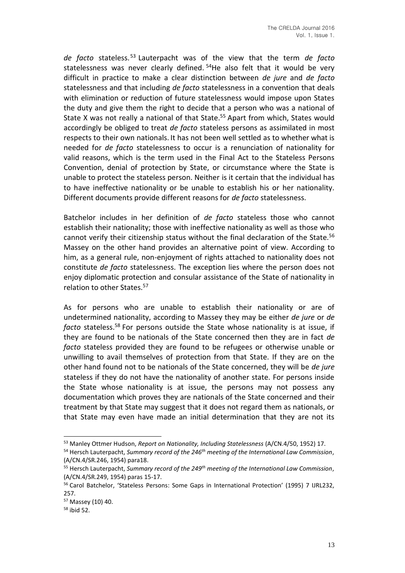*de facto* stateless.<sup>53</sup> Lauterpacht was of the view that the term *de facto* statelessness was never clearly defined.  $54$ He also felt that it would be very difficult in practice to make a clear distinction between *de jure* and *de facto* statelessness and that including *de facto* statelessness in a convention that deals with elimination or reduction of future statelessness would impose upon States the duty and give them the right to decide that a person who was a national of State X was not really a national of that State.<sup>55</sup> Apart from which, States would accordingly be obliged to treat *de facto* stateless persons as assimilated in most respects to their own nationals. It has not been well settled as to whether what is needed for *de facto* statelessness to occur is a renunciation of nationality for valid reasons, which is the term used in the Final Act to the Stateless Persons Convention, denial of protection by State, or circumstance where the State is unable to protect the stateless person. Neither is it certain that the individual has to have ineffective nationality or be unable to establish his or her nationality. Different documents provide different reasons for *de facto* statelessness.

Batchelor includes in her definition of *de facto* stateless those who cannot establish their nationality; those with ineffective nationality as well as those who cannot verify their citizenship status without the final declaration of the State.<sup>56</sup> Massey on the other hand provides an alternative point of view. According to him, as a general rule, non-enjoyment of rights attached to nationality does not constitute *de facto* statelessness. The exception lies where the person does not enjoy diplomatic protection and consular assistance of the State of nationality in relation to other States.<sup>57</sup>

As for persons who are unable to establish their nationality or are of undetermined nationality, according to Massey they may be either *de jure* or *de facto* stateless.<sup>58</sup> For persons outside the State whose nationality is at issue, if they are found to be nationals of the State concerned then they are in fact *de facto* stateless provided they are found to be refugees or otherwise unable or unwilling to avail themselves of protection from that State. If they are on the other hand found not to be nationals of the State concerned, they will be *de jure* stateless if they do not have the nationality of another state. For persons inside the State whose nationality is at issue, the persons may not possess any documentation which proves they are nationals of the State concerned and their treatment by that State may suggest that it does not regard them as nationals, or that State may even have made an initial determination that they are not its

<sup>53</sup> Manley Ottmer Hudson, *Report on Nationality, Including Statelessness* (A/CN.4/50, 1952) 17.

<sup>54</sup> Hersch Lauterpacht, *Summary record of the 246th meeting of the International Law Commission*, (A/CN.4/SR.246, 1954) para18.

<sup>55</sup> Hersch Lauterpacht, *Summary record of the 249th meeting of the International Law Commission*, (A/CN.4/SR.249, 1954) paras 15-17.

<sup>56</sup> Carol Batchelor, 'Stateless Persons: Some Gaps in International Protection' (1995) 7 IJRL232, 257.

<sup>57</sup> Massey (10) 40.

<sup>58</sup> ibid 52.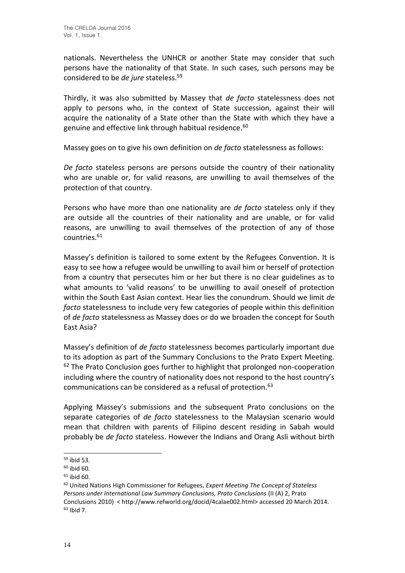nationals. Nevertheless the UNHCR or another State may consider that such persons have the nationality of that State. In such cases, such persons may be considered to be *de jure* stateless.<sup>59</sup>

Thirdly, it was also submitted by Massey that *de facto* statelessness does not apply to persons who, in the context of State succession, against their will acquire the nationality of a State other than the State with which they have a genuine and effective link through habitual residence.<sup>60</sup>

Massey goes on to give his own definition on *de facto* statelessness as follows:

*De facto* stateless persons are persons outside the country of their nationality who are unable or, for valid reasons, are unwilling to avail themselves of the protection of that country.

Persons who have more than one nationality are *de facto* stateless only if they are outside all the countries of their nationality and are unable, or for valid reasons, are unwilling to avail themselves of the protection of any of those countries.<sup>61</sup>

Massey's definition is tailored to some extent by the Refugees Convention. It is easy to see how a refugee would be unwilling to avail him or herself of protection from a country that persecutes him or her but there is no clear guidelines as to what amounts to 'valid reasons' to be unwilling to avail oneself of protection within the South East Asian context. Hear lies the conundrum. Should we limit *de facto* statelessness to include very few categories of people within this definition of *de facto* statelessness as Massey does or do we broaden the concept for South East Asia?

Massey's definition of *de facto* statelessness becomes particularly important due to its adoption as part of the Summary Conclusions to the Prato Expert Meeting. <sup>62</sup> The Prato Conclusion goes further to highlight that prolonged non-cooperation including where the country of nationality does not respond to the host country's communications can be considered as a refusal of protection.<sup>63</sup>

Applying Massey's submissions and the subsequent Prato conclusions on the separate categories of *de facto* statelessness to the Malaysian scenario would mean that children with parents of Filipino descent residing in Sabah would probably be *de facto* stateless. However the Indians and Orang Asli without birth

<sup>59</sup> ibid 53.

 $60$  ibid 60.

 $61$  ibid 60.

<sup>62</sup> United Nations High Commissioner for Refugees, *Expert Meeting The Concept of Stateless Persons under International Law Summary Conclusions, Prato Conclusions* (II (A) 2, Prato Conclusions 2010) < http://www.refworld.org/docid/4calae002.html> accessed 20 March 2014.  $63$  Ibid 7.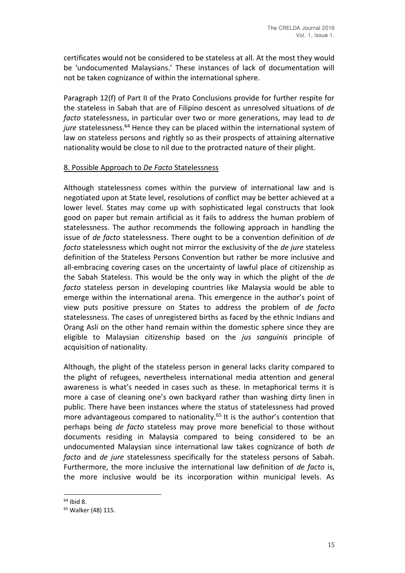certificates would not be considered to be stateless at all. At the most they would be 'undocumented Malaysians.' These instances of lack of documentation will not be taken cognizance of within the international sphere.

Paragraph 12(f) of Part II of the Prato Conclusions provide for further respite for the stateless in Sabah that are of Filipino descent as unresolved situations of *de facto* statelessness, in particular over two or more generations, may lead to *de*  jure statelessness.<sup>64</sup> Hence they can be placed within the international system of law on stateless persons and rightly so as their prospects of attaining alternative nationality would be close to nil due to the protracted nature of their plight.

#### 8. Possible Approach to *De Facto* Statelessness

Although statelessness comes within the purview of international law and is negotiated upon at State level, resolutions of conflict may be better achieved at a lower level. States may come up with sophisticated legal constructs that look good on paper but remain artificial as it fails to address the human problem of statelessness. The author recommends the following approach in handling the issue of *de facto* statelessness. There ought to be a convention definition of *de facto* statelessness which ought not mirror the exclusivity of the *de jure* stateless definition of the Stateless Persons Convention but rather be more inclusive and all-embracing covering cases on the uncertainty of lawful place of citizenship as the Sabah Stateless. This would be the only way in which the plight of the *de facto* stateless person in developing countries like Malaysia would be able to emerge within the international arena. This emergence in the author's point of view puts positive pressure on States to address the problem of *de facto* statelessness. The cases of unregistered births as faced by the ethnic Indians and Orang Asli on the other hand remain within the domestic sphere since they are eligible to Malaysian citizenship based on the *jus sanguinis* principle of acquisition of nationality.

Although, the plight of the stateless person in general lacks clarity compared to the plight of refugees, nevertheless international media attention and general awareness is what's needed in cases such as these. In metaphorical terms it is more a case of cleaning one's own backyard rather than washing dirty linen in public. There have been instances where the status of statelessness had proved more advantageous compared to nationality.<sup>65</sup> It is the author's contention that perhaps being *de facto* stateless may prove more beneficial to those without documents residing in Malaysia compared to being considered to be an undocumented Malaysian since international law takes cognizance of both *de facto* and *de jure* statelessness specifically for the stateless persons of Sabah. Furthermore, the more inclusive the international law definition of *de facto* is, the more inclusive would be its incorporation within municipal levels. As

<sup>64</sup> Ibid 8.

<sup>65</sup> Walker (48) 115.